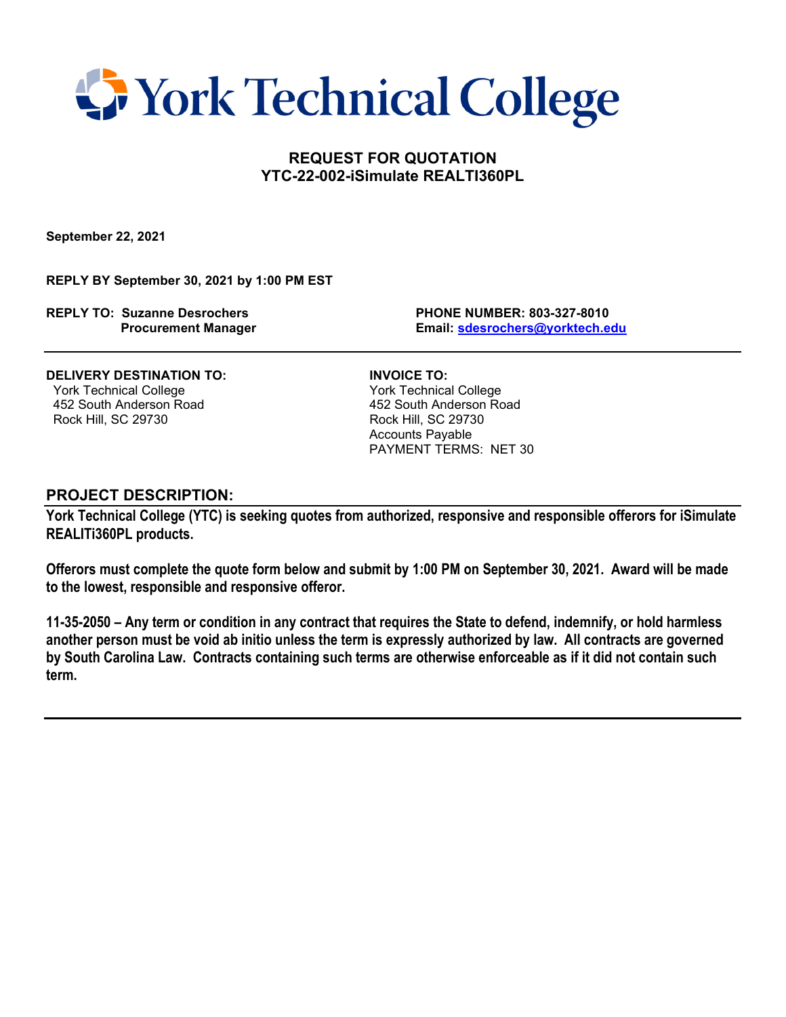

## **REQUEST FOR QUOTATION YTC-22-002-iSimulate REALTI360PL**

**September 22, 2021**

**REPLY BY September 30, 2021 by 1:00 PM EST**

**REPLY TO: Suzanne Desrochers PHONE NUMBER: 803-327-8010**

 **Procurement Manager Email: [sdesrochers@yorktech.edu](mailto:sdesrochers@yorktech.edu)**

### **DELIVERY DESTINATION TO: INVOICE TO:**

 York Technical College York Technical College Rock Hill, SC 29730

452 South Anderson Road 152 South Anderson Road 152 South Anderson Road 152 South Anderson Road 169 South Anderson Road 169 South Anderson Road 169 South Anderson Road 169 South Anderson Road 169 South Anderson Road 169 So Accounts Payable PAYMENT TERMS: NET 30

#### **PROJECT DESCRIPTION:**

**York Technical College (YTC) is seeking quotes from authorized, responsive and responsible offerors for iSimulate REALITi360PL products.**

**Offerors must complete the quote form below and submit by 1:00 PM on September 30, 2021. Award will be made to the lowest, responsible and responsive offeror.** 

**11-35-2050 – Any term or condition in any contract that requires the State to defend, indemnify, or hold harmless another person must be void ab initio unless the term is expressly authorized by law. All contracts are governed by South Carolina Law. Contracts containing such terms are otherwise enforceable as if it did not contain such term.**